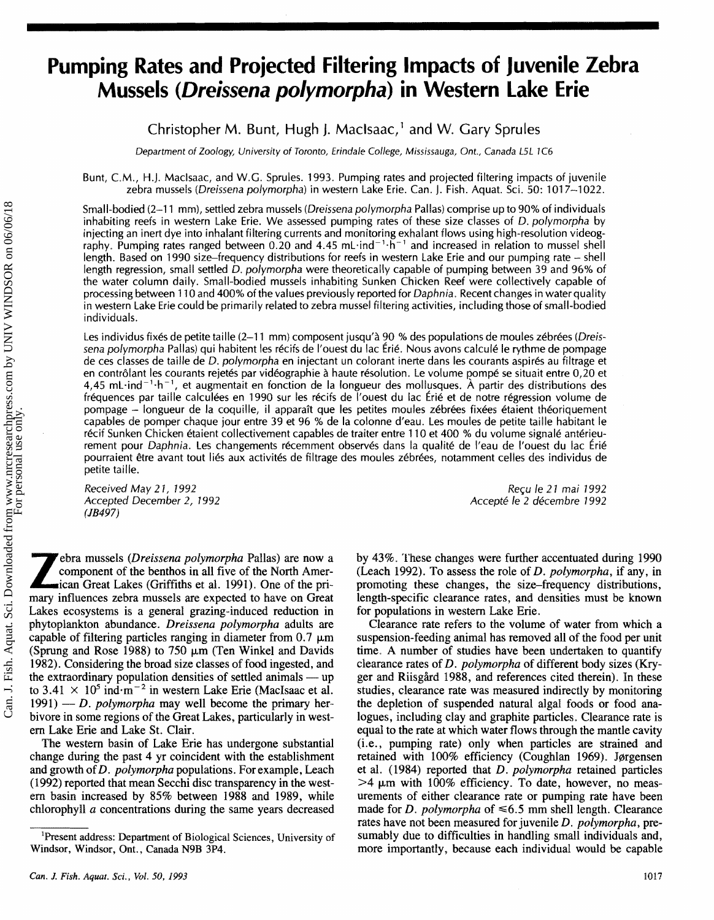# **Pumping Rates and Projected Filtering Impacts of Juvenile Zebra Mussels (Dreissena polymorpha) in Western Lake Erie**

# Christopher M. Bunt, Hugh I. Maclsaac,' and W. Gary Sprules

Department of Zoology, University of Toronto, Erindale College, Mississauga, Ont., Canada L5L *1C6* 

Bunt, C.M., H.J. Maclsaac, and W.G. Sprules. 1993. Pumping rates and projected filtering impacts of juvenile zebra mussels (Dreissena polymorpha) in western Lake Erie. Can. I. Fish. Aquat. Sci. 50: 1017–1022.

Small-bodied (2-11 mm), settled zebra mussels (Dreissena polymorpha Pallas) comprise up to 90% of individuals inhabiting reefs in western Lake Erie. We assessed pumping rates of these size classes of D. polymorpha by injecting an inert dye into inhalant filtering currents and monitoring exhalant flows using high-resolution videography. Pumping rates ranged between 0.20 and 4.45 mL $\cdot$ ind<sup>-1</sup> $\cdot$ h<sup>-1</sup> and increased in relation to mussel shell length. Based on 1990 size–frequency distributions for reefs in western Lake Erie and our pumping rate  $-$  shell length regression, small settled D. polymorpha were theoretically capable of pumping between 39 and 96% of the water column daily. Small-bodied mussels inhabiting Sunken Chicken Reef were collectively capable of processing between 110 and 400% of the values previously reported for Daphnia. Recent changes in water quality in western Lake Erie could be primarily related to zebra mussel filtering activities, including those of small-bodied individuals.

Les individus fixés de petite taille (2-11 mm) composent jusqu'à 90 % des populations de moules zébrées (Dreissena polymorpha Pallas) qui habitent les récifs de l'ouest du lac Érié. Nous avons calculé le rythme de pompage de ces classes de taille de D. polymorpha en injectant un colorant inerte dans les courants aspirés au filtrage et en contrôlant les courants rejetés par vidéographie à haute résolution. Le volume pompé se situait entre 0,20 et 4,45 mL $\cdot$ ind<sup>-1</sup> $\cdot$ h<sup>-1</sup>, et augmentait en fonction de la longueur des mollusques. À partir des distributions des fréquences par taille calculées en 1990 sur les récifs de l'ouest du lac Érié et de notre régression volume de pompage - longueur de la coquille, il apparaît que les petites moules zébrées fixées étaient théoriquement capables de pomper chaque jour entre **39** et 96 % de la cotonne d'eau. Les mouses de petite taille habitant le récif Sunken Chicken étaient collectivement capables de traiter entre 110 et 400 % du volume signalé antérieurement pour Daphnia. Les changements récemment observés dans la qualité de l'eau de l'ouest du lac Érié pourraient être avant tout liés aux activités de filtrage des moules zébrées, notamment celles des individus de petite taille.

Received May 2 **1, 7** 992 Accepted December 2, 1992 *(JB497)* 

Reçu le 21 mai 1992 Accepté le 2 décembre 1992

**Z** ebra mussels *(Dreissena polymorpha* Pallas) are now a component of the benthos in all five of the North American Great Lakes (Griffiths et al. 1991). One of the pri-<br>mary influences zehra mussels are expected to have component of the benthos in all five of the North Amer**mary** influences zebra mussels are expected to have on Great Lakes ecosystems is a general grazing-induced reduction in phytoplankton abundance. *Dreissena pslymorpha* adults are capable of filtering particles ranging in diameter from  $0.7 \mu m$ (Sprung and Rose 1988) to 750  $\mu$ m (Ten Winkel and Davids 1982). Considering the broad size classes of food ingested, and the extraordinary population densities of settled animals — up to  $3.41 \times 10^5$  index  $\pi^{-2}$  in w 1982). Considering the broad size classes of food ingested, and to 3.41  $\times$  10<sup>5</sup> ind<sup>-m<sup>-2</sup> in western Lake Erie (MacIsaac et al.</sup> the extraordinary population densities of settled animals — up<br>to  $3.41 \times 10^5$  ind $\cdot$ m<sup>-2</sup> in western Lake Erie (MacIsaac et al.<br>1991) — *D. polymorpha* may well become the primary herbivore in some regions of the Great Lakes, particularly in western Lake Erie and Lake St. Clair.

The western basin of Lake Erie has undergone substantial change during the past 4 yr coincident with the establishment and growth of *D. polymorpha* populations. For example, Leach (1992) reported that mean Secchi disc transparency in the western basin increased by 85% between 1988 and 1989, while chlorophyll *a* concentrations during the same years decreased by 43%. These changes were further accentuated during 1990 (Leach 1992). To assess the role of *D. polymorpha*, if any, in promoting these changes, the size-frequency distributions, length-specific clearance rates, and densities must be known for populations in western Lake Erie.

Clearance rate refers to the volume of water from which a suspension-feeding animal has removed all of the food per unit time. A number of studies have been undertaken to quantify clearance rates of *D. polymorpha* of different body sizes (Kryger and Riisgård 1988, and references cited therein). In these studies, clearance rate was measured indirectly by monitoring the depletion of suspended natural algal foods or food analogues, including clay and graphite particles. Clearance rate is equal to the rate at which water flows through the mantle cavity (i. e. , pumping rate) only when particles are strained and retained with 100% efficiency (Coughlan 1969). Jørgensen et al. (1984) reported that *D. polymorpha* retained particles  $>4 \mu m$  with 100% efficiency. To date, however, no measurements of either clearance rate or pumping rate have been made for *D. polymorpha* of  $\leq 6.5$  mm shell length. Clearance rates have not been measured for juvenile *D. polyrnorpha,* presumably due to difficulties in handling small individuals and, more importantly, because each individual would be capable

**<sup>&#</sup>x27;Resent address: Department of Biological Sciences, University of Windsor, Windsor, Ont., Canada N9B** 3P4.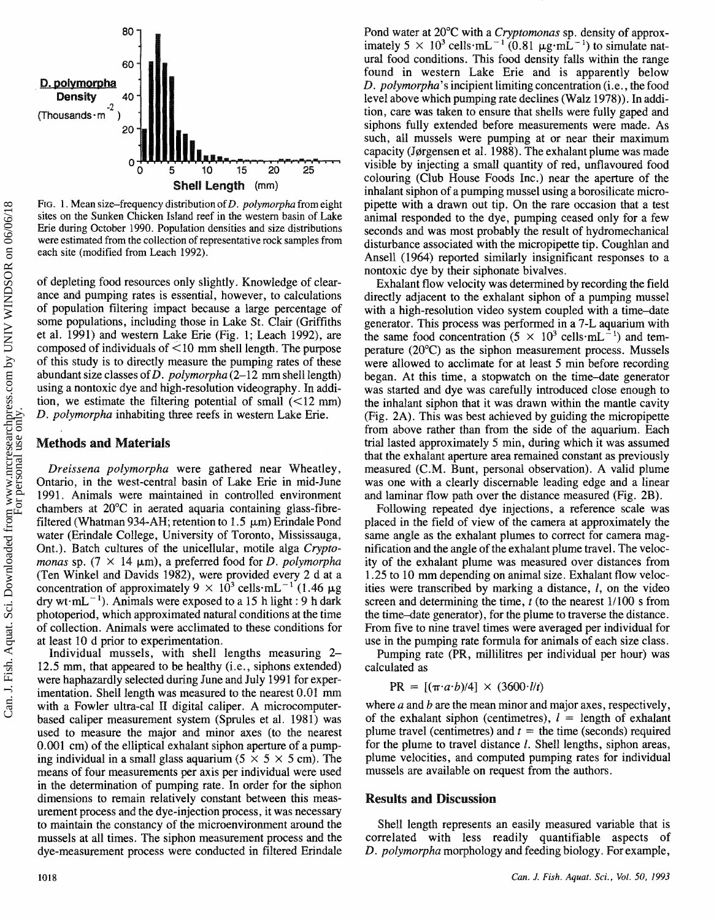

FIG. 1. Mean size-frequency distribution of D. polymorpha from eight **sites** on **the Sunken Chicken Island reef in the western basin of Lake**  Erie during October 1990. Population densities and size distributions **were estimated from the collection of representative rock samples from each site (modified from Leach 1992).** 

of depleting food resources only slightly. Knowledge of clearance and pumping rates is essential, however, to calculations of population filtering impact because a large percentage of some populations, including those in Lake St. Clair (Griffiths et al. 1991) and western Lake Erie (Fig. 1; Leach 1992), are composed of individuals of < 10 mm shell length. The purpose of this study is to directly measure the pumping rates of these abundant size classes of  $D$ . polymorpha (2-12 mm shell length) using a nontoxic dye and high-resolution videography. In addition, we estimate the filtering potential of small  $(<12$  mm) *D.* polymorpha inhabiting thee reefs in western Lake Erie.

#### **Methods and Materials**

Dreissena polymorpha were gathered near Wheatley, Ontario, in the west-central basin of Lake Erie in mid-June 1991. Animals were maintained in controlled environment chambers at 20°C in aerated aquaria containing glass-fibrefiltered (Whatman 934-AH; retention to 1.5  $\mu$ m) Erindale Pond water (Erindale College, University of Toronto, Mississauga, Ont.). Batch cultures of the unicellular, motile alga Cryptomonas sp.  $(7 \times 14 \mu m)$ , a preferred food for *D. polymorpha* (Ten Winkel and Davids 1982), were provided every 2 d at a concentration of approximately  $9 \times 10^3$  cells $\cdot$ mL<sup>-1</sup> (1.46  $\mu$ g dry wt $\cdot$ mL<sup>-1</sup>). Animals were exposed to a 15 h light : 9 h dark photoperiod, which approximated natural conditions at the time of collection. Animals were acclimated to these conditions for at least 10 d prior to experimentation.

Individual mussels, with shell lengths measuring **2-**  12.5 mm, that appeared to be healthy (i.e., siphons extended) were haphazardly selected during June and July 1991 for experimentation. Shell length was measured to the nearest  $0.01$  mm with a Fowler ultra-cal II digital caliper. A microcomputerbased caliper measurement system (Spmles et al. 1981) was used to measure the major and minor axes (to the nearest 0.001 cm) of the elliptical exhalant siphon aperture of a pumping individual in a small glass aquarium  $(5 \times 5 \times 5 \text{ cm})$ . The means of four measurements per axis per individual were used in the determination of pumping rate. In order for the siphon dimensions to remain relatively constant between this measurement process and the dye-injection process, it was necessary to maintain the constancy of the microenvironment around the mussels at all times. The siphon measurement process and the dye-measurement process were conducted in filtered Erindale Pond water at 20°C with a Cryptomonas sp. density of approximately  $5 \times 10^3$  cells $\cdot$ mL<sup>-1</sup> (0.81  $\mu$ g·mL<sup>-1</sup>) to simulate natural food conditions. This food density falls within the range found in western Lake Erie and is apparently below D. *polymorpha*'s incipient limiting concentration (i.e., the food level above which pumping rate declines (Walz 1978)). In addition, care was taken to ensure that shells were fully gaped and siphons fully extended before measurements were made. As such, all mussels were pumping at or near their maximum capacity (Jørgensen et al. 1988). The exhalant plume was made visible by injecting a small quantity of red, unflavoured food colouring (Club House Foods Inc.) near the aperture of the inhalant siphon of a pumping mussel using a borosilicate micropipette with a drawn out tip. On the rare occasion that a test animal responded to the dye, pumping ceased only for a few seconds and was most probably the result of hydromechanical disturbance associated with the micropipette tip. Coughlan and Ansell (1964) reported similarly insignificant responses to a nontoxic dye by their siphonate bivalves.

Exhalant flow velocity was determined by recording the field directly adjacent to the exhalant siphon of a pumping mussel with a high-resolution video system coupled with a time-date generator. This process was performed in a 7-L aquarium with the same food concentration (5  $\times$  10<sup>3</sup> cells $\cdot$ mL<sup>-1</sup>) and temperature (20°C) as the siphon measurement process. Mussels were allowed to acclimate for at least 5 min before recording began. At this time, a stopwatch on the time-date generator was started md dye was carefully introduced close enough to the inhalant siphon that it was drawn within the mantle cavity (Fig. 2A). This was best achieved by guiding the micropipette from above rather than from the side of the aquarium. Each trial lasted approximately *5* min, during which it was assumed that the exhalant aperture area remained constant as previously measured **(C.M. Bunt, personal observation)**. A valid plume was one with a clearly discernable leading edge and a linear and laminar flow path over the distance measured (Fig. 2B).

Following repeated dye injections, a reference scale was placed in the field of view of the camera at approximately the same angle as the exhalant plumes to correct for camera magnification and the angle of the exhalant plume travel. The velocity of the exhalant plume was measured over distances from 1.25 to 10 mm depending on animal size. Exhalant flow velocities were transcribed by making a distance, I, on the video screen and determining the time,  $t$  (to the nearest  $1/100$  s from the time-date generator), for the plume to traverse the distance. From five to nine travel times were averaged per individual for use in the pumping rate formula for animals of each size class.

Pumping rate (PR, millilitres per individual per hour) was calculated as

$$
PR = [(\pi \cdot a \cdot b)/4] \times (3600 \cdot l/t)
$$

where *a* and *b* are the mean minor and major axes, respectively, of the exhalant siphon (centimetres),  $l =$  length of exhalant plume travel (centimetres) and  $t =$  the time (seconds) required for the plume to travel distance **1.** Shell lengths, siphon areas, plume velocities, and computed pumping rates for individual mussels are available on request from the authors.

#### **Results and Discussion**

Shell length represents an easily measured variable that is correlated with less readily quantifiable aspects of D. polymorpha morphology and feeding biology. For example,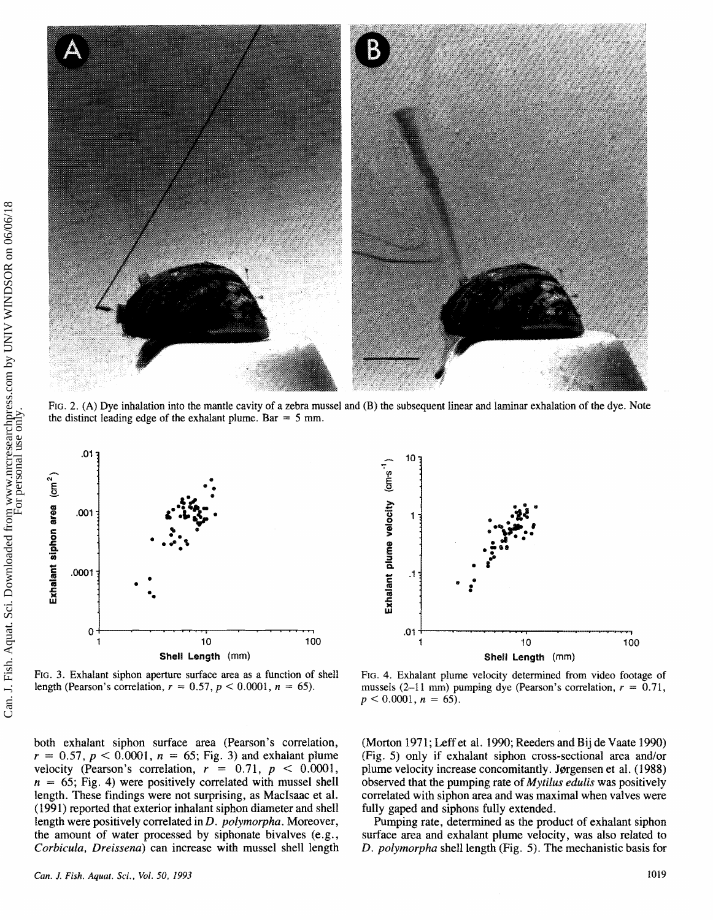

FIG. 2. **(A)** Dye inhalation into the mantle cavity of a zebra mussel and (B) the subsequent linear and laminar exhalation of the dye. Note the distinct leading edge of the exhalant plume.  $Bar = 5$  mm.



length (Pearson's correlation,  $r = 0.57$ ,  $p < 0.0001$ ,  $n = 65$ ). mussels (2-11 mm) pumping dye (Pearson's correlation,  $r = 0.71$ ,

both exhalant siphon surface area (Pearson's correlation,  $r = 0.57$ ,  $p < 0.0001$ ,  $n = 65$ ; Fig. 3) and exhalant plume velocity (Pearson's correlation,  $r = 0.71$ ,  $p < 0.0001$ ,  $n = 65$ ; Fig. 4) were positively correlated with mussel shell length. These findings were not surprising, as MacIsaac et al. (1991) reported that exterior inhalant siphon diameter and shell length were positively correlated in D. *polymorpha*. Moreover, the amount of water processed by siphonate bivalves (e.g., *Corbicula, Dreissena*) can increase with mussel shell length



FIG. 3. Exhalant siphon aperture surface area as a function of shell **FIG.** 4. Exhalant plume velocity determined **from video** footage of  $p < 0.0001$ ,  $n = 65$ ).

(Morton 1971; Leff et al. 1990; Reeders and Bij de Vaate 1990) (Fig. 5) only if exhalant siphon cross-sectional area and/or plume velocity increase concomitantly. Jørgensen et al. (1988) observed that the pumping rate of *Mytiius eduiis* was positively correlated with siphon area and was maximal when valves were fully gaped and siphons fully extended.

Pumping rate, determined as the product of exhalant siphon surface area and exhalant plume velocity, was also related to **D.** *polymorpha* shell length (Fig. *5).* The mechanistic basis for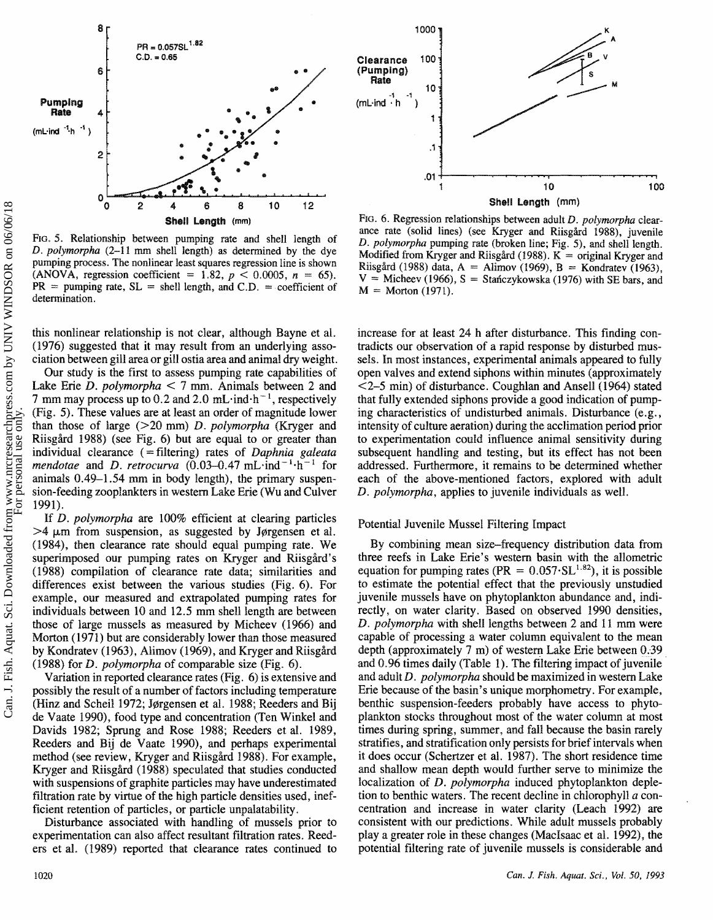

FIG. 5. Relationship between pumping rate and shell length of **0.** *poiygtmorpha* **(2-1** 1 m **shell length) as determined by the dye pumping process. The nonlinear least squares regression line is shown**   $\lambda$  **(ANOVA, regression coefficient = 1.82,**  $p < 0.0005$ **,**  $n = 65$ **).**  $PR =$  pumping rate,  $SL =$  shell length, and  $C.D. =$  coefficient of **determination.** 

this nonlinear relationship is not clear, although Bayne et al. (1976) suggested that it may result from an underlying association between gill area or gill ostia area md animal dry weight.

Our study is the first to assess pumping rate capabilities of Lake Erie  $D.$  polymorpha  $\leq 7$  mm. Animals between 2 and 7 mm may process up to 0.2 and 2.0 mL $\cdot$ ind $\cdot$ h<sup>-1</sup>, respectively (Pig. 5). These values are at least an order of magnitude lower than those of large  $(>20 \text{ mm})$  *D. polymorpha* (Kryger and Riisgård 1988) (see Fig. 6) but are equal to or greater than individual clearance ( = filtering) rates of *Daphnia galeata mendotae* and *D. retrocurva* (0.03-0.47 mL·ind<sup>-1</sup>·h<sup>-1</sup> for animals  $0.49-1.54$  mm in body length), the primary suspension-feeding zooplankters in western Lake Erie (Wu and Culver 1991).

If *D. polymorpha* are 100% efficient at clearing particles  $>4$  µm from suspension, as suggested by Jørgensen et al. (1984), then clearance rate should equal pumping rate. We superimposed our pumping rates on Kryger and Riisgård's (1988) compilation of clearance rate data; similarities and differences exist between the various studies (Fig. 6). For example, our measured and extrapolated pumping rates for individuals between 10 and 12.5 mm shell length are between hose of large mussels as measured by Micheev (1966) and Morton (1971) but are considerably lower than those measured by Kondratev (1963), Alimov (1969), and Kryger and Riisgård (1988) for **D.** *pslyrnorpha* sf comparable size (Fig. 6).

Variation in reported clearance rates (Fig. 6) is extensive and possibly the result of a number of factors including temperature (Hinz and Scheil 1972; Jgrgensen et al. 1988; Reeders and Bij de Vaate 1990), food type md concentration (Ten Winkel and Davids 1982; Sprung and Rose 1988; Reeders et al. 1989, Reeders and Bij de Vaate 1990), and perhaps experimental method (see review, Kryger and Riisgård 1988). For example, Kryger and Riisgård (1988) speculated that studies conducted with suspensions of graphite particles may have underestimated filtration rate by virtue of the high particle densities used, inefficient retention of particles, or particle unpalatability.

Disturbance associated with handling of mussels prior to experimentation can also affect resultant filtration rates. Reeders et al. (1989) reported that clearance rates continued to



FIG. 6. Regression relationships between adult *D. polymorpha* clearance rate (solid lines) (see Kryger and Riisgård 1988), juvenile *D. polymorpha* **pumping rate (broken line; Fig. 5), and shell length. Modified from Kryger and Riisghd** (1988). K = **original Kryger and Riisgård** (1988) **data, A = Alimov** (1969),  $B =$  **Kondratev** (1963), **V** = **Micheev (1966), S** = **Staficzykowska (1976) with SE bars, and**   $M = M$ orton (1971).

increase for at least 24 h after disturbance. This finding contradicts our observation of a rapid response by disturbed mussels. In most instances, experimental animals appeared to fully open valves and extend siphons within minutes (approximately  $<$ 2-5 min) of disturbance. Coughlan and Ansell (1964) stated that fully extended siphons provide a good indication of pumping characteristics of undisturbed animals. Disturbance (e.g., intensity of culture aeration) during the acclimation period prior to experimentation could influence animal sensitivity during subsequent handling and testing, but its effect has not been addressed. Furthemore, it remains to be determined whether each of the above-mentioned factors, explored with adult **D.** *pslymorgha,* applies to juvenile individuals as well.

#### Potential Juvenile Mussel Filtering Impact

By combining mean size-frequency distribution data from three reefs in Lake Erie's western basin with the allometric equation for pumping rates (PR =  $0.057 \cdot SL^{1.82}$ ), it is possible to estimate the potential effect that the previously unstudied juvenile mussels have on phytoplankton abundance and, indirectly, on water clarity. Based on observed 1990 densities, D. *polymorpha* with shell lengths between 2 and 11 mm were capable of processing a water column equivalent to the mean depth (approximately 7 **rn)** of western Lake **Erie** between 0.39 and  $0.96$  times daily (Table 1). The filtering impact of juvenile and adult D. *polymorpha* should be maximized in western Lake Erie because of the basin's unique morphometry. For example, benthic suspension-feeders probably have access to phytoplankton stocks throughout most of the water column at most times during spring, summer, and fall because the basin rarely stratifies, and stratification only persists for brief intervals when it does occur (Schertzer et al. 1987). The short residence time and shallow mean depth would further serve to minimize the localization of *D. polymorpha* induced phytoplankton depletion to benthic waters. The recent decline in chlorophyll a concentration and increase in water clarity (Leach 1992) are consistent with our predictions. While adult mussels probably play a greater role in these changes (MacIsaac et al. 1992), the potential filtering rate of juvenile mussels is considerable and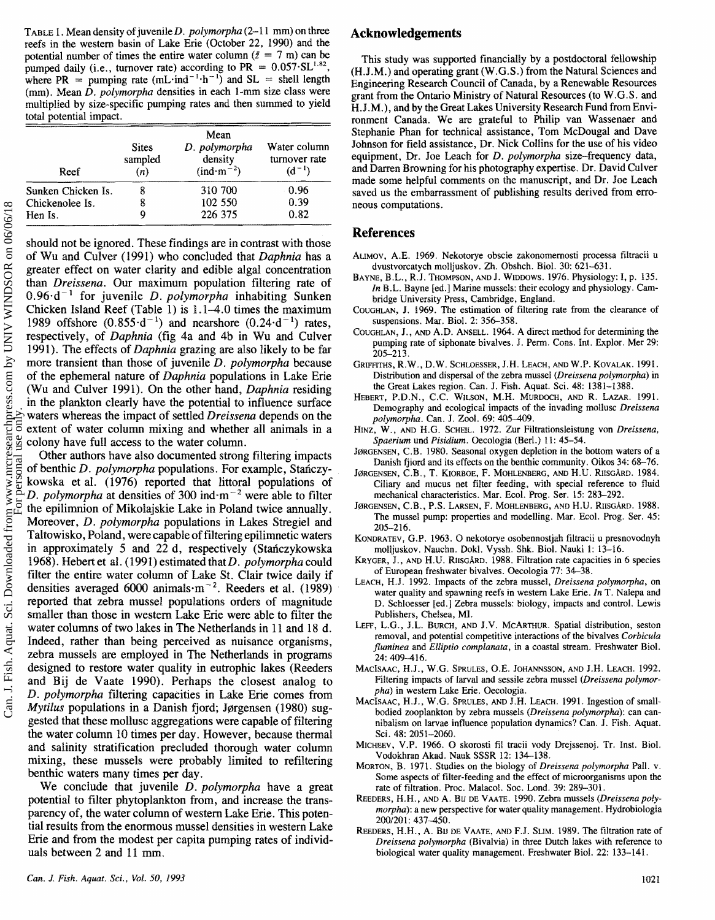**TABLE** 1. Mean density of juvenile%). *polymsrpha* **(2-1** 1 mm) on three reefs in the western basin of Lake Erie (October 22, 1990) and the potential number of times the entire water column ( $\bar{z} = 7$  m) can be pumped daily (i.e., turnover rate) according to PR =  $0.057 \text{·} \text{SL}^{1.82}$ , where PR = pumping rate  $(mL \cdot ind^{-1} \cdot h^{-1})$  and SL = shell length (mm). Mean **D.** *pslymorpha* densities in each I-mm size class were multiplied by size-specific pumping rates and then summed to yield total potential impact.

| Reef               | <b>Sites</b><br>sampled<br>(n) | Mean<br>D. polymorpha<br>density<br>$(ind·m-2)$ | Water column<br>turnover rate<br>$(d^{-1})$ |
|--------------------|--------------------------------|-------------------------------------------------|---------------------------------------------|
| Sunken Chicken Is. | ሽ                              | 310 700                                         | 0.96                                        |
| Chickenolee Is.    | 8                              | 102 550                                         | 0.39                                        |
| Hen Is.            | ų                              | 226 375                                         | 0.82                                        |

should not be ignored. These findings are in contrast with those of Wu and Culver (1991) who concluded that *Daphnia* has a greater effect on water clarity and edible algd concentration than *Dreissena*. Our maximum population filtering rate of 0.96·d<sup>-1</sup> for juvenile *D. polymorpha* inhabiting Sunken Chicken Island Reef (Table 1) is  $1.1-4.0$  times the maximum 1989 offshore  $(0.855 \cdot d^{-1})$  and nearshore  $(0.24 \cdot d^{-1})$  rates, respectively, of *Daphnia* (fig 4a and 4b in Wu and Culver 1991). The effects of *Daphnia* grazing are also likely to be far more transient than those of juvenile **D.** *polymorpha* because of the ephemeral nature of *Daphnia* populations in Lake Erie **(Wu** and Culver 1991). On the other hand, *Daphnia* residing in the plankton clearly have the potential to influence surface waters whereas the impact of settled *Dreissena* depends on the extent of water column mixing and whether all animals in a colony have full access to the water column.

Other authors have also documented strong filtering impacts of benthic D. *polymorpha* populations. For example, Stanczykowska et al. (1976) reported that littoral populations of D. *polymorpha* at densities of 300 ind $\cdot$ m<sup>-2</sup> were able to filter the epilimnion of Mikolajskie Lake in Poland twice annually. Moreover, *D. polymorpha* populations in Lakes Stregiel and Taltowisko, Poland, were capable of filtering epilimnetic waters in approximately 5 and 22 d, respectively (Stanczykowska 1968). Hebert et al. (1991) estimated that *D. polymorpha* could filter the entire water column of Lake St. Clair twice daily if densities averaged 6000 animals $\cdot$ m<sup>-2</sup>. Reeders et al. (1989) reported that zebra mussel populations orders of magnitude smaller than those in western Lake Erie were able to filter the water columns of two lakes in The Netherlands in 11 and 18 d. Indeed, rather than being perceived as nuisance organisms, zebra mussels are employed in The Netherlands in programs designed to restore water quality in eutrophic lakes (Reeders and Bij de Vaate 1990). Perhaps the closest analog to **D.** *polymorph* filtering capacities in Lake Erie comes from *Mytilets* populations in a Danish fjord; Jgrgensen (1988) suggested that these mollusc aggregations were capable of filtering the water column 10 times per day. However, because thermal and salinity stratification precluded thorough water column mixing, these mussels were probably limited to refiltering benthic waters many times per day.

We conclude that juvenile **D.** *pokymorphsa* have a great potential to filter phytoplankton from, and increase the transparency of, the water column of western Lake Erie. This potential results from the enormous mussel densities in western Lake Erie and from the modest per capita pumping rates of individuals between 2 and 11 mm.

## **Acknowledgements**

This study was supported financially by a postdoctoral fellowship (H.J **.M.)** and operating grant (W .G. S .) from the Natural Sciences and Engineering Research Council of Canada, by a Renewable Resources grant from the Ontario Ministry of Natural Resources (to W.G.S. and **M. J** .M.), and by the Great Lakes University Research Fund from Environment Canada. We are grateful to Philip van Wassenaer and Stephanie Phan for technical assistance, Tom McDougal and Dave Johnson for field assistance, Dr. Nick Collins for the use of his video equipment, Dr. Joe Leach for *D. polymorpha* size-frequency data, and **Dmen** Browning for his photography expertise. Dr. David Culver made some helpful comments on the manuscript, and Dr. Joe Leach saved us the embarrassment of publishing results derived from emoneous computations.

### **References**

- ALIMOV, A.E. 1969. Nekotorye obscie zakonomernosti processa filtracii u dvustvorcatych molljuskov. Zh. Obshch. Biol. 30: 621-631.
- BAYNE, B.L., R.J. THOMPSON, AND J. WIDDOWS. 1976. Physiology: I, p. 135. **In B.L.** Bayne [ed.] Marine mussels: their ecology and physiology. Cmbridge University Press, Cambridge, England.
- COUGHLAN, J. 1969. The estimation of filtering rate from the clearance of suspensions. Mar. Biol. 2: 356-358.
- COUGHLAN, J. , AND A.D. ANSELL. 1964. A direct method for determining the pumping rate of siphonate bivalves. J. Perm. Cons. Int. Explor. Mer 29:  $205 - 213$ .
- GRIFFITHS, R.W., D.W. SCHLOESSER, J.H. LEACH, AND W.P. KOVALAK. 1991. Distribution and dispersal of the zebra mussel (Dreissena polymorpha) in the Great Lakes region. Can. J. Fish. Aquat. Sci. 48: 1381-1388.
- HEBERT, P.D.N., @.@. WILSON, M.H. MURDOCH, AND **W.** LAZAR. 1991. Demography and ecological impacts of the invading mollusc Dreissena polymorpha. Can. J. Zool. 69: 405-409.
- HINZ, W., AND H.G. SCHEIL. 1972. Zur Filtrationsleistung von Dreissena, Spaerium und Pisidium. Oecologia (Berl.) 11: 45-54.
- JØRGENSEN, C.B. 1980. Seasonal oxygen depletion in the bottom waters of a Banish fjisrd and its effects on the benthic community. Oikos 34: 68-76.
- Jørgensen, C.B., T. Kiorboe, F. Mohlenberg, and H.U. Riisgård. 1984. Ciliary **md** mucus net filter feeding, with special reference to fluid mechanical characteristics. **Mar.** Ecol. Prog. Ser. 15: 283-292.
- JØRGENSEN, C.B., P.S. LARSEN, F. MOHLENBERG, AND H.U. RIISGÅRD. 1988. The mussel pump: properties and modelling. Mar. Ecol. Prog. Ser. 45: 205-2 16.
- KONDRATEV, **G.P.** 1963. O nekotorye osobennostjak filtracii u presnovdnyh molljuskov. Nauchn. Dokl. Vyssh. Shk. Biol. Nauki 1: 13-16.
- KRYGER, J., AND H.U. RIISGÅRD. 1988. Filtration rate capacities in 6 species of European freshwater bivalves. Oecologia 77: 34-38.
- LEACH, H.J. 1992. Impacts of the zebra mussel, Dreissena polymorpha, on water quality and spawning reefs in western Lake Erie. In **T.** Ndepa and D. Schloesser **[eel.]** Zebra mussels: biology, impacts and control. Lewis Publishers, Chelsea, MI.
- LEFF, L.G., J.L. BURCH, AND J.V. MCARTHUR. Spatial distribution, seston removal, and potential competitive interactions of the bivalves Corbicula fluminea and Elliptio complanata, in a coastal stream. Freshwater Biol.  $24.409 - 416$
- MACISAAC, H.J., W.G. SPRULES, **O.E.** JOHANNSSON, AND **J.M.** LEACH. 1992. Filtering impacts of larval and sessile zebra mussel (Dreissena polymorpha) in western *Lake* Erie. Oecologia.
- MACISAAC, H.J., W.G. SPRULES, AND J.H. LEACH. 1991. Ingestion of smallbodied zooplankton by zebra mussels (Dreissena polymorpha): can cannibalism on larvae influence population dynamics? Can. J. Fish. Aquat. Sci. 48: 2051-2060.
- MICHEEV, V.P. 1966. O skorosti fil tracii vody Drejssenoj. Tr. Inst. Biol. Vodokhran Akad. Nauk SSSR 12: 134-138.
- MORTON, B. 1971. Studies on the biology of Dreissena polymorpha Pall. v. Some aspects of filter-feeding and the effect of microorganisms upon the rate of filtration. Proc. Malacol. Soc. Lond. 39: 289-301.
- REEDERS, H.H., AND A. BIJ DE VAATE. 1990. Zebra mussels (Dreissena polymorpha): a new perspective for water quality management. Hydrobiologia 200/201: 437-450.
- REEDERS, H.H., A. BU DE VAATE, AND F.J. SLIM. 1989. The filtration rate of Dreissena polymorpha (Bivalvia) in three Dutch lakes with reference to biological water quality management. Freshwater Biol. 22: 133-141.